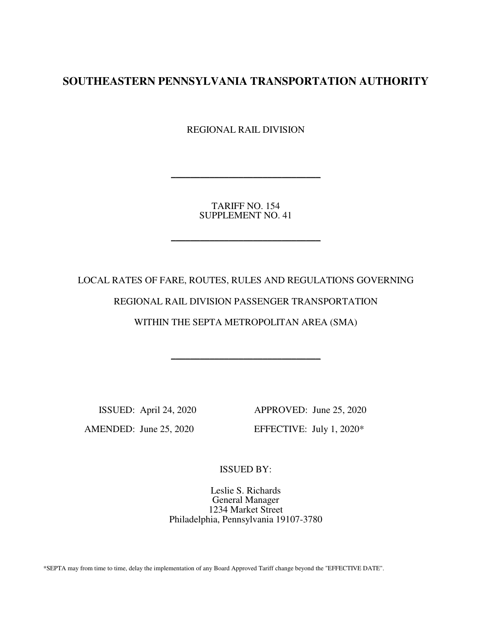# **SOUTHEASTERN PENNSYLVANIA TRANSPORTATION AUTHORITY**

REGIONAL RAIL DIVISION

TARIFF NO. 154 SUPPLEMENT NO. 41

\_\_\_\_\_\_\_\_\_\_\_\_\_\_\_\_\_\_\_\_\_\_\_\_\_\_\_\_\_\_\_

\_\_\_\_\_\_\_\_\_\_\_\_\_\_\_\_\_\_\_\_\_\_\_\_\_\_\_\_\_\_\_

LOCAL RATES OF FARE, ROUTES, RULES AND REGULATIONS GOVERNING REGIONAL RAIL DIVISION PASSENGER TRANSPORTATION WITHIN THE SEPTA METROPOLITAN AREA (SMA)

\_\_\_\_\_\_\_\_\_\_\_\_\_\_\_\_\_\_\_\_\_\_\_\_\_\_\_\_\_\_\_

 ISSUED: April 24, 2020 APPROVED: June 25, 2020 AMENDED: June 25, 2020 EFFECTIVE: July 1, 2020\*

ISSUED BY:

Leslie S. Richards General Manager 1234 Market Street Philadelphia, Pennsylvania 19107-3780

\*SEPTA may from time to time, delay the implementation of any Board Approved Tariff change beyond the "EFFECTIVE DATE".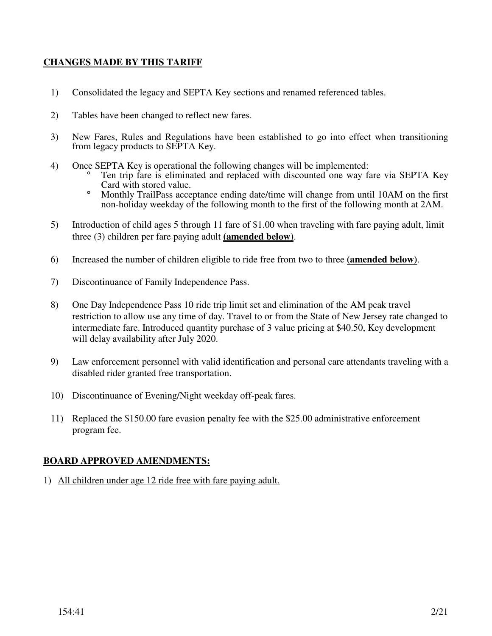# **CHANGES MADE BY THIS TARIFF**

- 1) Consolidated the legacy and SEPTA Key sections and renamed referenced tables.
- 2) Tables have been changed to reflect new fares.
- 3) New Fares, Rules and Regulations have been established to go into effect when transitioning from legacy products to SEPTA Key.
- 4) Once SEPTA Key is operational the following changes will be implemented:
	- ° Ten trip fare is eliminated and replaced with discounted one way fare via SEPTA Key Card with stored value.
	- ° Monthly TrailPass acceptance ending date/time will change from until 10AM on the first non-holiday weekday of the following month to the first of the following month at 2AM.
- 5) Introduction of child ages 5 through 11 fare of \$1.00 when traveling with fare paying adult, limit three (3) children per fare paying adult **(amended below)**.
- 6) Increased the number of children eligible to ride free from two to three **(amended below)**.
- 7) Discontinuance of Family Independence Pass.
- 8) One Day Independence Pass 10 ride trip limit set and elimination of the AM peak travel restriction to allow use any time of day. Travel to or from the State of New Jersey rate changed to intermediate fare. Introduced quantity purchase of 3 value pricing at \$40.50, Key development will delay availability after July 2020.
- 9) Law enforcement personnel with valid identification and personal care attendants traveling with a disabled rider granted free transportation.
- 10) Discontinuance of Evening/Night weekday off-peak fares.
- 11) Replaced the \$150.00 fare evasion penalty fee with the \$25.00 administrative enforcement program fee.

# **BOARD APPROVED AMENDMENTS:**

1) All children under age 12 ride free with fare paying adult.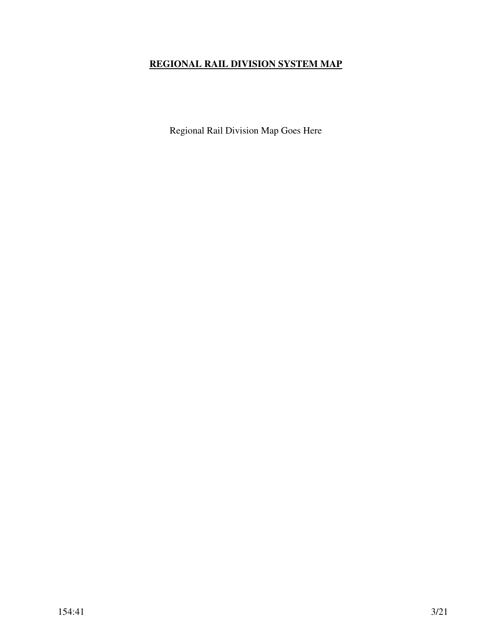# **REGIONAL RAIL DIVISION SYSTEM MAP**

Regional Rail Division Map Goes Here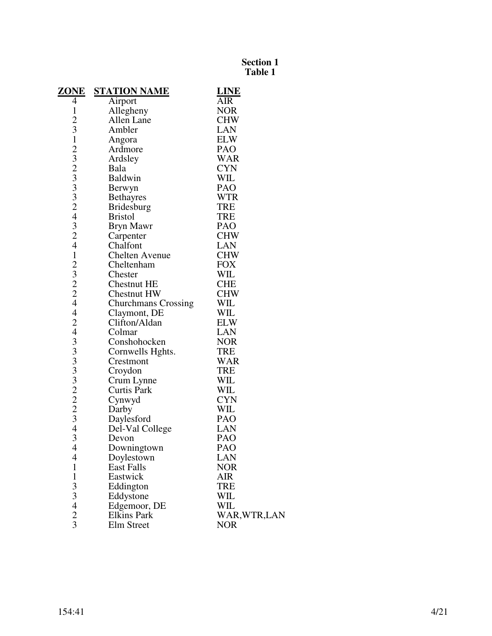| <u>ZONE</u>                                | <b>STATION NAME</b>        | <b>LINE</b>   |
|--------------------------------------------|----------------------------|---------------|
| 4                                          | Airport                    | AIR           |
| $\mathbf{1}$                               | Allegheny                  | <b>NOR</b>    |
| $\frac{2}{3}$                              | Allen Lane                 | <b>CHW</b>    |
|                                            | Ambler                     | LAN           |
| $\mathbf{1}$                               | Angora                     | <b>ELW</b>    |
|                                            | Ardmore                    | <b>PAO</b>    |
|                                            | Ardsley                    | <b>WAR</b>    |
|                                            | Bala                       | <b>CYN</b>    |
|                                            | <b>Baldwin</b>             | WIL           |
| 232332432                                  | Berwyn                     | PAO           |
|                                            | <b>Bethayres</b>           | <b>WTR</b>    |
|                                            | <b>Bridesburg</b>          | <b>TRE</b>    |
|                                            | <b>Bristol</b>             | <b>TRE</b>    |
|                                            | Bryn Mawr                  | <b>PAO</b>    |
|                                            | Carpenter                  | <b>CHW</b>    |
| $\overline{4}$                             | Chalfont                   | LAN           |
| $\mathbf{1}$                               | <b>Chelten Avenue</b>      | <b>CHW</b>    |
|                                            | Cheltenham                 | <b>FOX</b>    |
| $\begin{array}{c} 2 \\ 3 \\ 2 \end{array}$ | Chester                    | WIL           |
|                                            | <b>Chestnut HE</b>         | <b>CHE</b>    |
|                                            | Chestnut HW                | <b>CHW</b>    |
| $\overline{4}$                             | <b>Churchmans Crossing</b> | WIL           |
| $\overline{4}$                             | Claymont, DE               | WIL           |
| $\overline{c}$                             | Clifton/Aldan              | <b>ELW</b>    |
| 433332223                                  | Colmar                     | <b>LAN</b>    |
|                                            | Conshohocken               | <b>NOR</b>    |
|                                            | Cornwells Hghts.           | <b>TRE</b>    |
|                                            | Crestmont                  | <b>WAR</b>    |
|                                            | Croydon                    | <b>TRE</b>    |
|                                            | Crum Lynne                 | WIL           |
|                                            | <b>Curtis Park</b>         | WIL           |
|                                            | Cynwyd                     | <b>CYN</b>    |
|                                            | Darby                      | WIL           |
|                                            | Daylesford                 | PAO           |
| $\overline{\mathcal{L}}$                   | Del-Val College            | <b>LAN</b>    |
| 3                                          | Devon                      | <b>PAO</b>    |
| $\overline{4}$                             | Downingtown                | PAO           |
| 4                                          | Doylestown                 | LAN           |
| $\mathbf{1}$                               | <b>East Falls</b>          | <b>NOR</b>    |
| $\mathbf{1}$                               | Eastwick                   | AIR           |
| 33423                                      | Eddington                  | <b>TRE</b>    |
|                                            | Eddystone                  | WIL           |
|                                            | Edgemoor, DE               | WIL           |
|                                            | <b>Elkins Park</b>         | WAR, WTR, LAN |
|                                            | Elm Street                 | <b>NOR</b>    |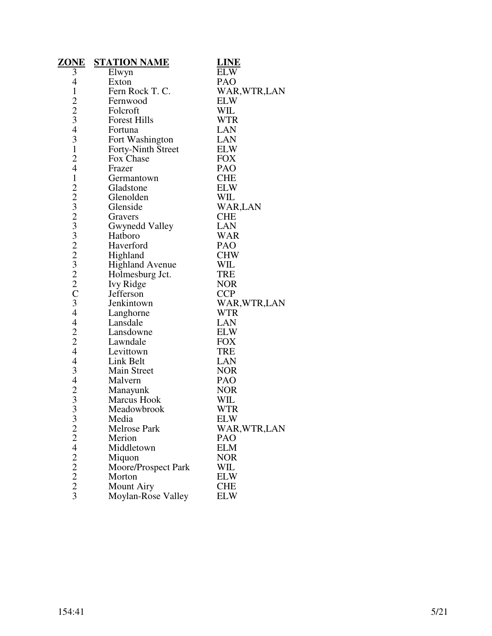| <u>ZONE</u>                   | <b>STATION NAME</b>    | <b>LINE</b>   |
|-------------------------------|------------------------|---------------|
| $\overline{3}$                | Elwyn                  | <b>ELW</b>    |
| $\overline{4}$                | Exton                  | PAO           |
| $\mathbf{1}$                  | Fern Rock T. C.        | WAR, WTR, LAN |
|                               | Fernwood               | <b>ELW</b>    |
| $\frac{2}{3}$                 | Folcroft               | WIL           |
|                               | <b>Forest Hills</b>    | <b>WTR</b>    |
| $\overline{4}$                | Fortuna                | <b>LAN</b>    |
| 3                             | Fort Washington        | LAN           |
| $\mathbf{1}$                  | Forty-Ninth Street     | <b>ELW</b>    |
| $\overline{c}$                | Fox Chase              | <b>FOX</b>    |
| $\overline{4}$                | Frazer                 | <b>PAO</b>    |
| $\mathbf{1}$                  | Germantown             | <b>CHE</b>    |
|                               | Gladstone              | <b>ELW</b>    |
|                               | Glenolden              | WIL           |
| $223232222$<br>$2222$<br>$C3$ | Glenside               | WAR,LAN       |
|                               | Gravers                | <b>CHE</b>    |
|                               | Gwynedd Valley         | <b>LAN</b>    |
|                               | Hatboro                | <b>WAR</b>    |
|                               | Haverford              | <b>PAO</b>    |
|                               | Highland               | <b>CHW</b>    |
|                               | <b>Highland Avenue</b> | WIL           |
|                               | Holmesburg Jct.        | <b>TRE</b>    |
|                               | Ivy Ridge              | <b>NOR</b>    |
|                               | Jefferson              | <b>CCP</b>    |
|                               | Jenkintown             | WAR, WTR, LAN |
| $\overline{4}$                | Langhorne              | <b>WTR</b>    |
| $\overline{\mathcal{L}}$      | Lansdale               | <b>LAN</b>    |
| $\frac{2}{2}$                 | Lansdowne              | <b>ELW</b>    |
|                               | Lawndale               | <b>FOX</b>    |
| $\overline{4}$                | Levittown              | TRE           |
| $\overline{\mathcal{L}}$      | Link Belt              | LAN           |
| 3                             | <b>Main Street</b>     | <b>NOR</b>    |
| $\overline{4}$                | Malvern                | PAO           |
| $\frac{2}{3}$                 | Manayunk               | <b>NOR</b>    |
|                               | <b>Marcus Hook</b>     | WIL           |
|                               | Meadowbrook            | <b>WTR</b>    |
| 3                             | Media                  | <b>ELW</b>    |
|                               | Melrose Park           | WAR,WTR,LAN   |
|                               | Merion                 | PAO           |
|                               | Middletown             | <b>ELM</b>    |
|                               | Miquon                 | <b>NOR</b>    |
| $2242222$<br>$223$            | Moore/Prospect Park    | WIL           |
|                               | Morton                 | <b>ELW</b>    |
|                               | <b>Mount Airy</b>      | <b>CHE</b>    |
|                               | Moylan-Rose Valley     | <b>ELW</b>    |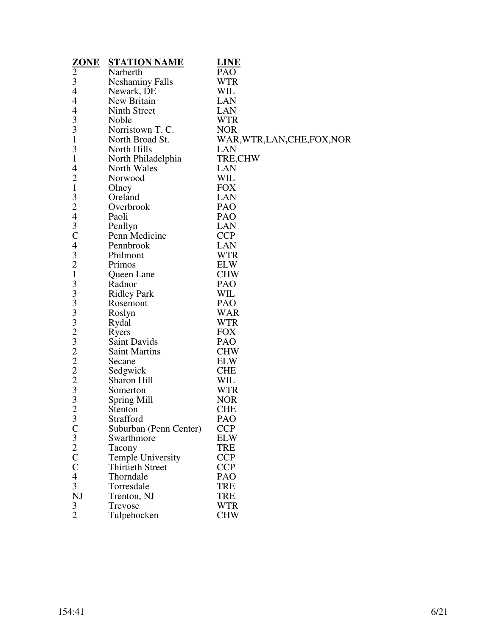| $\frac{\text{ZONE}}{2}$    | <b>STATION NAME</b>      | <b>LINE</b>                  |
|----------------------------|--------------------------|------------------------------|
|                            | Narberth                 | PAO                          |
| 3                          | <b>Neshaminy Falls</b>   | <b>WTR</b>                   |
| 4                          | Newark, DE               | WIL                          |
| 4                          | New Britain              | LAN                          |
| 4                          | Ninth Street             | <b>LAN</b>                   |
| 3                          | Noble                    | <b>WTR</b>                   |
| 3                          | Norristown T. C.         | <b>NOR</b>                   |
| $\mathbf{1}$               | North Broad St.          | WAR, WTR, LAN, CHE, FOX, NOR |
| 3                          | North Hills              | LAN                          |
| $\mathbf{1}$               | North Philadelphia       | TRE, CHW                     |
| 4                          | North Wales              | <b>LAN</b>                   |
| $\overline{c}$             | Norwood                  | WIL                          |
| $\mathbf{1}$               | Olney                    | <b>FOX</b>                   |
| 3                          | Oreland                  | <b>LAN</b>                   |
| $\overline{c}$             | Overbrook                | PAO                          |
| $\overline{4}$             | Paoli                    | <b>PAO</b>                   |
| 3                          | Penllyn                  | LAN                          |
| $\mathsf{C}$               | Penn Medicine            | <b>CCP</b>                   |
| 4                          | Pennbrook                | <b>LAN</b>                   |
| 3                          | Philmont                 | <b>WTR</b>                   |
| $\overline{c}$             | Primos                   | <b>ELW</b>                   |
| $\mathbf 1$                | Queen Lane               | <b>CHW</b>                   |
| 3                          | Radnor                   | <b>PAO</b>                   |
| 3                          | <b>Ridley Park</b>       | WIL                          |
|                            | Rosemont                 | PAO                          |
|                            | Roslyn                   | <b>WAR</b>                   |
|                            | Rydal                    | <b>WTR</b>                   |
|                            | Ryers                    | <b>FOX</b>                   |
|                            | Saint Davids             | <b>PAO</b>                   |
| 3332322233                 | <b>Saint Martins</b>     | <b>CHW</b>                   |
|                            | Secane                   | <b>ELW</b>                   |
|                            | Sedgwick                 | <b>CHE</b>                   |
|                            | Sharon Hill              | WIL                          |
|                            | Somerton                 | <b>WTR</b>                   |
|                            | Spring Mill              | <b>NOR</b>                   |
| $\overline{2}$             | Stenton                  | <b>CHE</b>                   |
| 3                          | Strafford                | PAO                          |
|                            | Suburban (Penn Center)   | <b>CCP</b>                   |
|                            | Swarthmore               | <b>ELW</b>                   |
|                            | Tacony                   | <b>TRE</b>                   |
|                            | <b>Temple University</b> | <b>CCP</b>                   |
| $C_3$<br>$2$<br>$C$<br>$C$ | <b>Thirtieth Street</b>  | <b>CCP</b>                   |
| $\overline{4}$             | Thorndale                | PAO                          |
| 3                          | Torresdale               | <b>TRE</b>                   |
| NJ                         | Trenton, NJ              | <b>TRE</b>                   |
| 3                          | Trevose                  | <b>WTR</b>                   |
| $\overline{2}$             | Tulpehocken              | <b>CHW</b>                   |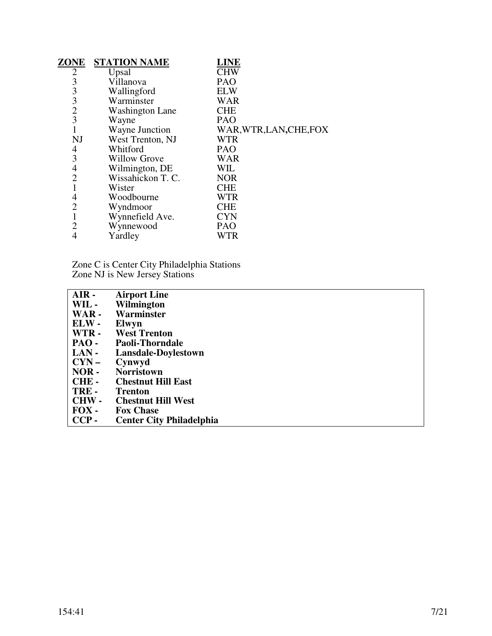| ZONE                                            | <b>STATION NAME</b>    | LINE                    |
|-------------------------------------------------|------------------------|-------------------------|
| $\overline{2}$                                  | Upsal                  | <b>CHW</b>              |
|                                                 | Villanova              | <b>PAO</b>              |
|                                                 | Wallingford            | <b>ELW</b>              |
|                                                 | Warminster             | <b>WAR</b>              |
| $\begin{array}{c} 3 \\ 3 \\ 2 \\ 3 \end{array}$ | <b>Washington Lane</b> | <b>CHE</b>              |
|                                                 | Wayne                  | PAO                     |
| $\mathbf{1}$                                    | Wayne Junction         | WAR, WTR, LAN, CHE, FOX |
| NJ                                              | West Trenton, NJ       | <b>WTR</b>              |
| 4                                               | Whitford               | PAO                     |
| 3                                               | <b>Willow Grove</b>    | <b>WAR</b>              |
| $\overline{4}$                                  | Wilmington, DE         | WIL                     |
| $\overline{2}$                                  | Wissahickon T. C.      | <b>NOR</b>              |
|                                                 | Wister                 | <b>CHE</b>              |
| 4                                               | Woodbourne             | <b>WTR</b>              |
| $\overline{c}$                                  | Wyndmoor               | <b>CHE</b>              |
| 1                                               | Wynnefield Ave.        | <b>CYN</b>              |
| $\overline{2}$                                  | Wynnewood              | <b>PAO</b>              |
| 4                                               | Yardley                | WTR                     |
|                                                 |                        |                         |

Zone C is Center City Philadelphia Stations Zone NJ is New Jersey Stations

| <b>Airport Line</b>             |
|---------------------------------|
| Wilmington                      |
| Warminster                      |
| Elwyn                           |
| <b>West Trenton</b>             |
| <b>Paoli-Thorndale</b>          |
| Lansdale-Doylestown             |
| Cynwyd                          |
| <b>Norristown</b>               |
| <b>Chestnut Hill East</b>       |
| <b>Trenton</b>                  |
| <b>Chestnut Hill West</b>       |
| <b>Fox Chase</b>                |
| <b>Center City Philadelphia</b> |
|                                 |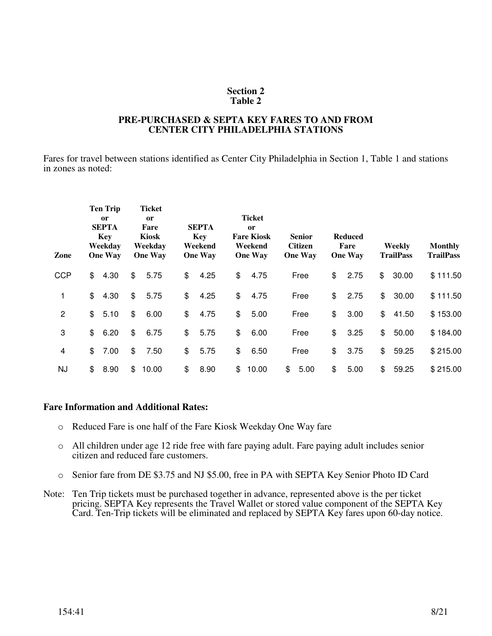#### **PRE-PURCHASED & SEPTA KEY FARES TO AND FROM CENTER CITY PHILADELPHIA STATIONS**

Fares for travel between stations identified as Center City Philadelphia in Section 1, Table 1 and stations in zones as noted:

| Zone           | <b>Ten Trip</b><br><sub>or</sub><br><b>SEPTA</b><br><b>Key</b><br>Weekday<br><b>One Way</b> |                | <b>Ticket</b><br>or<br>Fare<br><b>Kiosk</b><br>Weekday<br><b>One Way</b> | <b>SEPTA</b><br><b>Key</b><br>Weekend<br><b>One Way</b> | Ticket<br><sub>or</sub><br><b>Fare Kiosk</b><br>Weekend<br><b>One Way</b> | <b>Senior</b><br><b>Citizen</b><br><b>One Way</b> | <b>Reduced</b><br>Fare<br><b>One Way</b> |               | Weekly<br><b>TrailPass</b> | <b>Monthly</b><br><b>TrailPass</b> |
|----------------|---------------------------------------------------------------------------------------------|----------------|--------------------------------------------------------------------------|---------------------------------------------------------|---------------------------------------------------------------------------|---------------------------------------------------|------------------------------------------|---------------|----------------------------|------------------------------------|
| <b>CCP</b>     | \$<br>4.30                                                                                  | \$             | 5.75                                                                     | \$<br>4.25                                              | \$<br>4.75                                                                | Free                                              | \$<br>2.75                               | \$            | 30.00                      | \$111.50                           |
| 1              | \$<br>4.30                                                                                  | \$             | 5.75                                                                     | \$<br>4.25                                              | \$<br>4.75                                                                | Free                                              | \$<br>2.75                               | \$            | 30.00                      | \$111.50                           |
| $\overline{2}$ | \$<br>5.10                                                                                  | \$             | 6.00                                                                     | \$<br>4.75                                              | \$<br>5.00                                                                | Free                                              | \$<br>3.00                               | $\frac{1}{2}$ | 41.50                      | \$153.00                           |
| 3              | \$<br>6.20                                                                                  | $\mathfrak{L}$ | 6.75                                                                     | \$<br>5.75                                              | \$<br>6.00                                                                | Free                                              | \$<br>3.25                               | \$            | 50.00                      | \$184.00                           |
| 4              | \$<br>7.00                                                                                  | \$             | 7.50                                                                     | \$<br>5.75                                              | \$<br>6.50                                                                | Free                                              | \$<br>3.75                               | \$            | 59.25                      | \$215.00                           |
| <b>NJ</b>      | \$<br>8.90                                                                                  | \$             | 10.00                                                                    | \$<br>8.90                                              | \$<br>10.00                                                               | \$<br>5.00                                        | \$<br>5.00                               | \$            | 59.25                      | \$215.00                           |

- o Reduced Fare is one half of the Fare Kiosk Weekday One Way fare
- o All children under age 12 ride free with fare paying adult. Fare paying adult includes senior citizen and reduced fare customers.
- o Senior fare from DE \$3.75 and NJ \$5.00, free in PA with SEPTA Key Senior Photo ID Card
- Note: Ten Trip tickets must be purchased together in advance, represented above is the per ticket pricing. SEPTA Key represents the Travel Wallet or stored value component of the SEPTA Key Card. Ten-Trip tickets will be eliminated and replaced by SEPTA Key fares upon 60-day notice.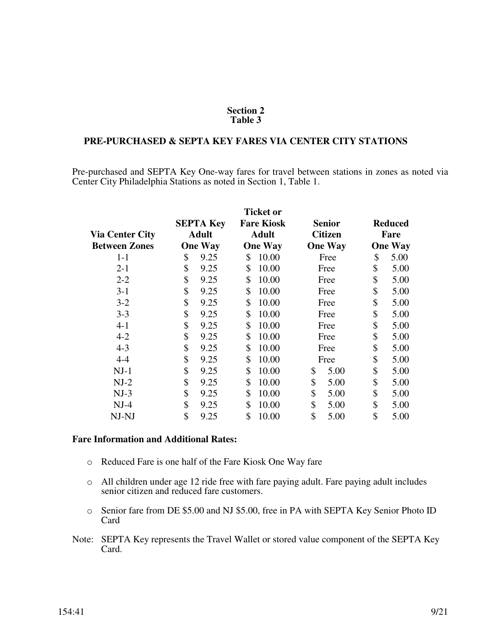## **PRE-PURCHASED & SEPTA KEY FARES VIA CENTER CITY STATIONS**

Pre-purchased and SEPTA Key One-way fares for travel between stations in zones as noted via Center City Philadelphia Stations as noted in Section 1, Table 1.

|                        |                                  |                |                                   | <b>Ticket or</b> |                |                        |                |  |
|------------------------|----------------------------------|----------------|-----------------------------------|------------------|----------------|------------------------|----------------|--|
|                        | <b>SEPTA Key</b><br><b>Adult</b> |                | <b>Fare Kiosk</b><br><b>Adult</b> |                  | <b>Senior</b>  | <b>Reduced</b><br>Fare |                |  |
| <b>Via Center City</b> |                                  |                |                                   |                  | <b>Citizen</b> |                        |                |  |
| <b>Between Zones</b>   |                                  | <b>One Way</b> |                                   | <b>One Way</b>   | <b>One Way</b> |                        | <b>One Way</b> |  |
| $1 - 1$                | \$                               | 9.25           | \$                                | 10.00            | Free           | \$                     | 5.00           |  |
| $2 - 1$                | \$                               | 9.25           | \$                                | 10.00            | Free           | \$                     | 5.00           |  |
| $2 - 2$                | \$                               | 9.25           | \$                                | 10.00            | Free           | \$                     | 5.00           |  |
| $3-1$                  | \$                               | 9.25           | \$                                | 10.00            | Free           | \$                     | 5.00           |  |
| $3 - 2$                | \$                               | 9.25           | \$                                | 10.00            | Free           | \$                     | 5.00           |  |
| $3 - 3$                | \$                               | 9.25           | \$                                | 10.00            | Free           | \$                     | 5.00           |  |
| $4 - 1$                | \$                               | 9.25           | \$                                | 10.00            | Free           | \$                     | 5.00           |  |
| $4 - 2$                | \$                               | 9.25           | \$                                | 10.00            | Free           | \$                     | 5.00           |  |
| $4 - 3$                | \$                               | 9.25           | \$                                | 10.00            | Free           | \$                     | 5.00           |  |
| $4 - 4$                | \$                               | 9.25           | \$                                | 10.00            | Free           | \$                     | 5.00           |  |
| $NJ-1$                 | \$                               | 9.25           | \$                                | 10.00            | \$<br>5.00     | \$                     | 5.00           |  |
| $NJ-2$                 | \$                               | 9.25           | \$                                | 10.00            | \$<br>5.00     | \$                     | 5.00           |  |
| $NJ-3$                 | \$                               | 9.25           | \$                                | 10.00            | \$<br>5.00     | \$                     | 5.00           |  |
| $NJ-4$                 | \$                               | 9.25           | \$                                | 10.00            | \$<br>5.00     | \$                     | 5.00           |  |
| NJ-NJ                  | \$                               | 9.25           | \$                                | 10.00            | \$<br>5.00     | \$                     | 5.00           |  |

- o Reduced Fare is one half of the Fare Kiosk One Way fare
- o All children under age 12 ride free with fare paying adult. Fare paying adult includes senior citizen and reduced fare customers.
- o Senior fare from DE \$5.00 and NJ \$5.00, free in PA with SEPTA Key Senior Photo ID Card
- Note: SEPTA Key represents the Travel Wallet or stored value component of the SEPTA Key Card.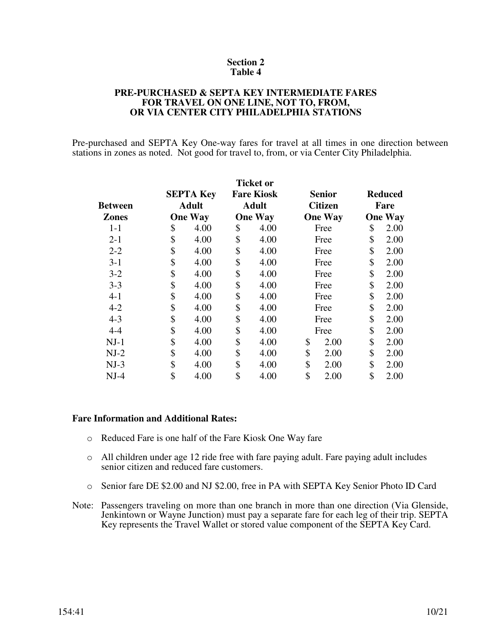#### **PRE-PURCHASED & SEPTA KEY INTERMEDIATE FARES FOR TRAVEL ON ONE LINE, NOT TO, FROM, OR VIA CENTER CITY PHILADELPHIA STATIONS**

Pre-purchased and SEPTA Key One-way fares for travel at all times in one direction between stations in zones as noted. Not good for travel to, from, or via Center City Philadelphia.

|                |                  | <b>Ticket or</b>  |                |                |      |                |
|----------------|------------------|-------------------|----------------|----------------|------|----------------|
|                | <b>SEPTA Key</b> | <b>Fare Kiosk</b> |                | <b>Senior</b>  |      | <b>Reduced</b> |
| <b>Between</b> | <b>Adult</b>     | <b>Adult</b>      | <b>Citizen</b> |                | Fare |                |
| <b>Zones</b>   | <b>One Way</b>   | <b>One Way</b>    |                | <b>One Way</b> |      | <b>One Way</b> |
| $1-1$          | \$<br>4.00       | \$<br>4.00        |                | Free           | \$   | 2.00           |
| $2 - 1$        | \$<br>4.00       | \$<br>4.00        |                | Free           | \$   | 2.00           |
| $2 - 2$        | \$<br>4.00       | \$<br>4.00        |                | Free           | \$   | 2.00           |
| $3-1$          | \$<br>4.00       | \$<br>4.00        |                | Free           | \$   | 2.00           |
| $3 - 2$        | \$<br>4.00       | \$<br>4.00        |                | Free           | \$   | 2.00           |
| $3 - 3$        | \$<br>4.00       | \$<br>4.00        |                | Free           | \$   | 2.00           |
| $4 - 1$        | \$<br>4.00       | \$<br>4.00        |                | Free           | \$   | 2.00           |
| $4 - 2$        | \$<br>4.00       | \$<br>4.00        |                | Free           | \$   | 2.00           |
| $4 - 3$        | \$<br>4.00       | \$<br>4.00        |                | Free           | \$   | 2.00           |
| $4 - 4$        | \$<br>4.00       | \$<br>4.00        |                | Free           | \$   | 2.00           |
| $NJ-1$         | \$<br>4.00       | \$<br>4.00        | \$             | 2.00           | \$   | 2.00           |
| $NJ-2$         | \$<br>4.00       | \$<br>4.00        | \$             | 2.00           | \$   | 2.00           |
| $NJ-3$         | \$<br>4.00       | \$<br>4.00        | \$             | 2.00           | \$   | 2.00           |
| $NJ-4$         | \$<br>4.00       | \$<br>4.00        | \$             | 2.00           | \$   | 2.00           |

- o Reduced Fare is one half of the Fare Kiosk One Way fare
- o All children under age 12 ride free with fare paying adult. Fare paying adult includes senior citizen and reduced fare customers.
- o Senior fare DE \$2.00 and NJ \$2.00, free in PA with SEPTA Key Senior Photo ID Card
- Note: Passengers traveling on more than one branch in more than one direction (Via Glenside, Jenkintown or Wayne Junction) must pay a separate fare for each leg of their trip. SEPTA Key represents the Travel Wallet or stored value component of the SEPTA Key Card.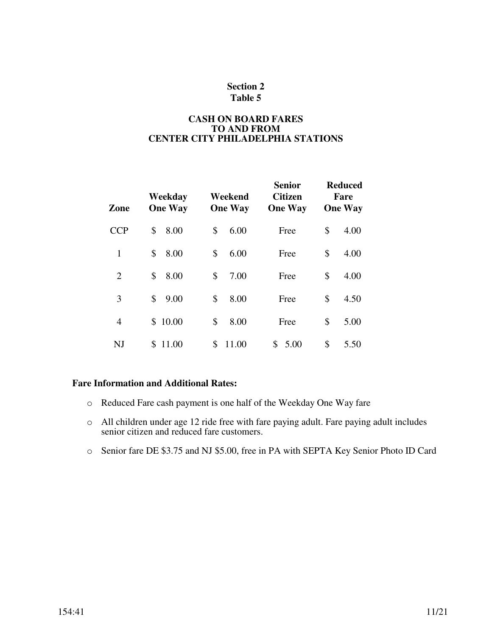## **CASH ON BOARD FARES TO AND FROM CENTER CITY PHILADELPHIA STATIONS**

| Zone           | Weekday<br><b>One Way</b> | Weekend<br><b>One Way</b> | <b>Senior</b><br><b>Citizen</b><br><b>One Way</b> | <b>Reduced</b><br>Fare<br><b>One Way</b> |
|----------------|---------------------------|---------------------------|---------------------------------------------------|------------------------------------------|
| <b>CCP</b>     | \$<br>8.00                | \$<br>6.00                | Free                                              | \$<br>4.00                               |
| 1              | \$<br>8.00                | \$<br>6.00                | Free                                              | \$<br>4.00                               |
| $\overline{2}$ | \$<br>8.00                | \$<br>7.00                | Free                                              | \$<br>4.00                               |
| 3              | \$<br>9.00                | \$<br>8.00                | Free                                              | \$<br>4.50                               |
| $\overline{4}$ | 10.00<br>S.               | \$<br>8.00                | Free                                              | \$<br>5.00                               |
| NJ             | \$<br>11.00               | \$<br>11.00               | \$<br>5.00                                        | \$<br>5.50                               |

- o Reduced Fare cash payment is one half of the Weekday One Way fare
- o All children under age 12 ride free with fare paying adult. Fare paying adult includes senior citizen and reduced fare customers.
- o Senior fare DE \$3.75 and NJ \$5.00, free in PA with SEPTA Key Senior Photo ID Card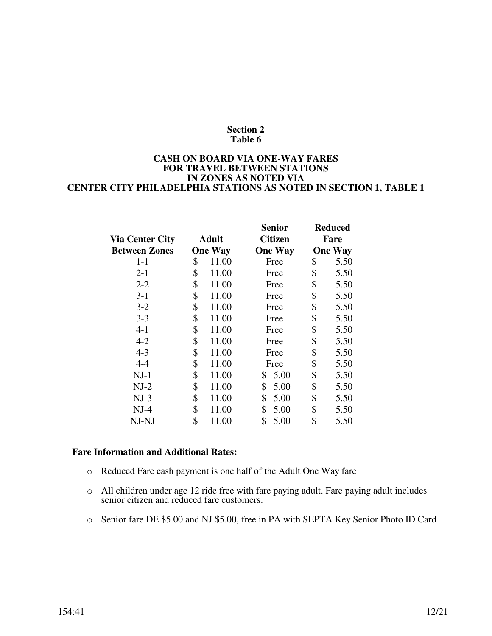#### **CASH ON BOARD VIA ONE-WAY FARES FOR TRAVEL BETWEEN STATIONS IN ZONES AS NOTED VIA CENTER CITY PHILADELPHIA STATIONS AS NOTED IN SECTION 1, TABLE 1**

|                        |                | <b>Senior</b>  | <b>Reduced</b> |
|------------------------|----------------|----------------|----------------|
| <b>Via Center City</b> | Adult          | <b>Citizen</b> | Fare           |
| <b>Between Zones</b>   | <b>One Way</b> | <b>One Way</b> | <b>One Way</b> |
| $1 - 1$                | \$<br>11.00    | Free           | \$<br>5.50     |
| $2 - 1$                | \$<br>11.00    | Free           | \$<br>5.50     |
| $2 - 2$                | \$<br>11.00    | Free           | \$<br>5.50     |
| $3 - 1$                | \$<br>11.00    | Free           | \$<br>5.50     |
| $3 - 2$                | \$<br>11.00    | Free           | \$<br>5.50     |
| $3 - 3$                | \$<br>11.00    | Free           | \$<br>5.50     |
| $4 - 1$                | \$<br>11.00    | Free           | \$<br>5.50     |
| $4 - 2$                | \$<br>11.00    | Free           | \$<br>5.50     |
| $4 - 3$                | \$<br>11.00    | Free           | \$<br>5.50     |
| $4 - 4$                | \$<br>11.00    | Free           | \$<br>5.50     |
| $NJ-1$                 | \$<br>11.00    | \$<br>5.00     | \$<br>5.50     |
| $NJ-2$                 | \$<br>11.00    | \$<br>5.00     | \$<br>5.50     |
| $NJ-3$                 | \$<br>11.00    | \$<br>5.00     | \$<br>5.50     |
| $NJ-4$                 | \$<br>11.00    | \$<br>5.00     | \$<br>5.50     |
| NJ-NJ                  | \$<br>11.00    | \$<br>5.00     | \$<br>5.50     |
|                        |                |                |                |

- o Reduced Fare cash payment is one half of the Adult One Way fare
- o All children under age 12 ride free with fare paying adult. Fare paying adult includes senior citizen and reduced fare customers.
- o Senior fare DE \$5.00 and NJ \$5.00, free in PA with SEPTA Key Senior Photo ID Card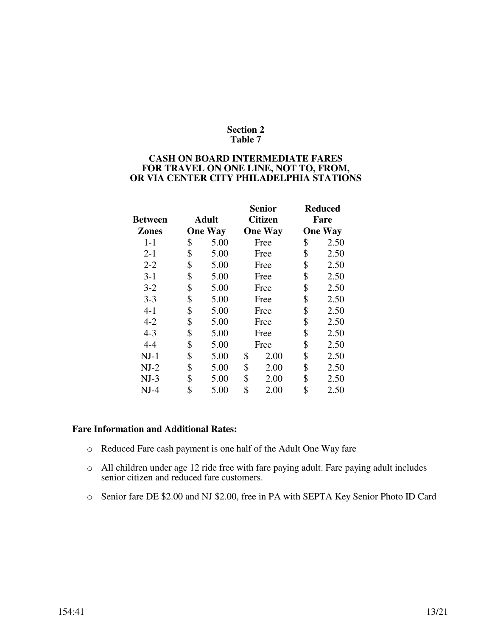#### **CASH ON BOARD INTERMEDIATE FARES FOR TRAVEL ON ONE LINE, NOT TO, FROM, OR VIA CENTER CITY PHILADELPHIA STATIONS**

|                |                |                | Senior         |      | <b>Reduced</b> |  |
|----------------|----------------|----------------|----------------|------|----------------|--|
| <b>Between</b> | <b>Adult</b>   |                | <b>Citizen</b> | Fare |                |  |
| <b>Zones</b>   | <b>One Way</b> | <b>One Way</b> |                |      | <b>One Way</b> |  |
| $1-1$          | \$<br>5.00     |                | Free           | \$   | 2.50           |  |
| $2 - 1$        | \$<br>5.00     |                | Free           | \$   | 2.50           |  |
| $2 - 2$        | \$<br>5.00     |                | Free           | \$   | 2.50           |  |
| $3-1$          | \$<br>5.00     | Free           |                | \$   | 2.50           |  |
| $3 - 2$        | \$<br>5.00     | Free           |                | \$   | 2.50           |  |
| $3 - 3$        | \$<br>5.00     | Free           |                | \$   | 2.50           |  |
| $4 - 1$        | \$<br>5.00     |                | Free           | \$   | 2.50           |  |
| $4 - 2$        | \$<br>5.00     |                | Free           | \$   | 2.50           |  |
| $4 - 3$        | \$<br>5.00     |                | Free           | \$   | 2.50           |  |
| $4 - 4$        | \$<br>5.00     |                | Free           | \$   | 2.50           |  |
| $NJ-1$         | \$<br>5.00     | \$             | 2.00           | \$   | 2.50           |  |
| $NJ-2$         | \$<br>5.00     | \$             | 2.00           | \$   | 2.50           |  |
| $NJ-3$         | \$<br>5.00     | \$             | 2.00           | \$   | 2.50           |  |
| $NJ-4$         | \$<br>5.00     | \$             | 2.00           | \$   | 2.50           |  |

- o Reduced Fare cash payment is one half of the Adult One Way fare
- o All children under age 12 ride free with fare paying adult. Fare paying adult includes senior citizen and reduced fare customers.
- o Senior fare DE \$2.00 and NJ \$2.00, free in PA with SEPTA Key Senior Photo ID Card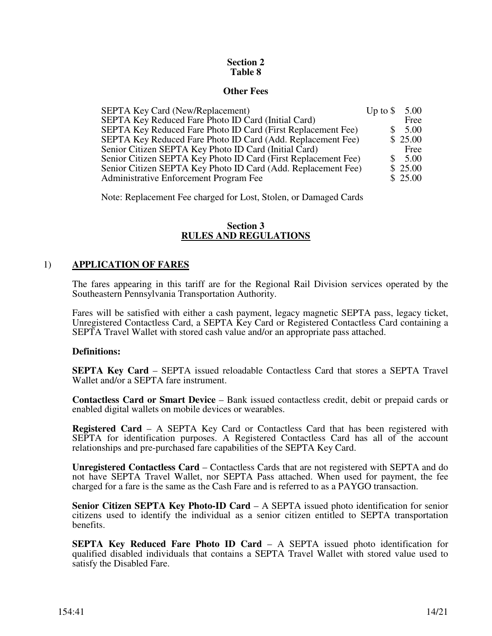#### **Other Fees**

| <b>SEPTA Key Card (New/Replacement)</b>                        | Up to $\$ | 5.00    |
|----------------------------------------------------------------|-----------|---------|
| SEPTA Key Reduced Fare Photo ID Card (Initial Card)            |           | Free    |
| SEPTA Key Reduced Fare Photo ID Card (First Replacement Fee)   |           | 5.00    |
| SEPTA Key Reduced Fare Photo ID Card (Add. Replacement Fee)    |           | \$25.00 |
| Senior Citizen SEPTA Key Photo ID Card (Initial Card)          |           | Free    |
| Senior Citizen SEPTA Key Photo ID Card (First Replacement Fee) |           | 5.00    |
| Senior Citizen SEPTA Key Photo ID Card (Add. Replacement Fee)  |           | \$25.00 |
| Administrative Enforcement Program Fee                         |           | \$25.00 |

Note: Replacement Fee charged for Lost, Stolen, or Damaged Cards

## **Section 3 RULES AND REGULATIONS**

# 1) **APPLICATION OF FARES**

The fares appearing in this tariff are for the Regional Rail Division services operated by the Southeastern Pennsylvania Transportation Authority.

Fares will be satisfied with either a cash payment, legacy magnetic SEPTA pass, legacy ticket, Unregistered Contactless Card, a SEPTA Key Card or Registered Contactless Card containing a SEPTA Travel Wallet with stored cash value and/or an appropriate pass attached.

## **Definitions:**

**SEPTA Key Card** – SEPTA issued reloadable Contactless Card that stores a SEPTA Travel Wallet and/or a SEPTA fare instrument.

**Contactless Card or Smart Device** – Bank issued contactless credit, debit or prepaid cards or enabled digital wallets on mobile devices or wearables.

**Registered Card** – A SEPTA Key Card or Contactless Card that has been registered with SEPTA for identification purposes. A Registered Contactless Card has all of the account relationships and pre-purchased fare capabilities of the SEPTA Key Card.

**Unregistered Contactless Card** – Contactless Cards that are not registered with SEPTA and do not have SEPTA Travel Wallet, nor SEPTA Pass attached. When used for payment, the fee charged for a fare is the same as the Cash Fare and is referred to as a PAYGO transaction.

**Senior Citizen SEPTA Key Photo-ID Card** – A SEPTA issued photo identification for senior citizens used to identify the individual as a senior citizen entitled to SEPTA transportation benefits.

**SEPTA Key Reduced Fare Photo ID Card** – A SEPTA issued photo identification for qualified disabled individuals that contains a SEPTA Travel Wallet with stored value used to satisfy the Disabled Fare.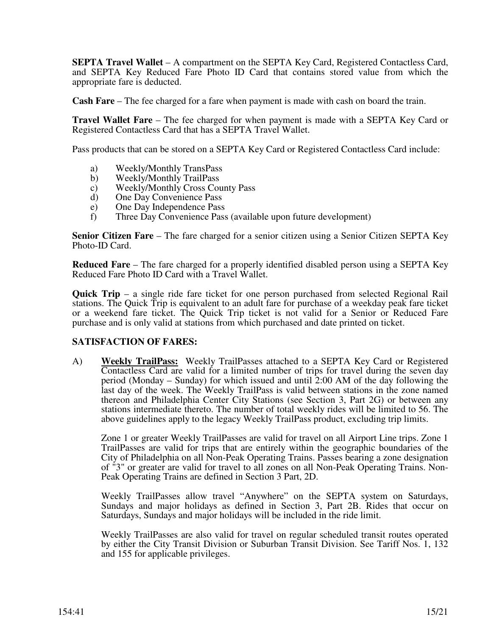**SEPTA Travel Wallet** – A compartment on the SEPTA Key Card, Registered Contactless Card, and SEPTA Key Reduced Fare Photo ID Card that contains stored value from which the appropriate fare is deducted.

**Cash Fare** – The fee charged for a fare when payment is made with cash on board the train.

**Travel Wallet Fare** – The fee charged for when payment is made with a SEPTA Key Card or Registered Contactless Card that has a SEPTA Travel Wallet.

Pass products that can be stored on a SEPTA Key Card or Registered Contactless Card include:

- a) Weekly/Monthly TransPass
- b) Weekly/Monthly TrailPass
- c) Weekly/Monthly Cross County Pass
- d) One Day Convenience Pass
- e) One Day Independence Pass
- f) Three Day Convenience Pass (available upon future development)

**Senior Citizen Fare** – The fare charged for a senior citizen using a Senior Citizen SEPTA Key Photo-ID Card.

**Reduced Fare** – The fare charged for a properly identified disabled person using a SEPTA Key Reduced Fare Photo ID Card with a Travel Wallet.

**Quick Trip** – a single ride fare ticket for one person purchased from selected Regional Rail stations. The Quick Trip is equivalent to an adult fare for purchase of a weekday peak fare ticket or a weekend fare ticket. The Quick Trip ticket is not valid for a Senior or Reduced Fare purchase and is only valid at stations from which purchased and date printed on ticket.

## **SATISFACTION OF FARES:**

A) **Weekly TrailPass:** Weekly TrailPasses attached to a SEPTA Key Card or Registered Contactless Card are valid for a limited number of trips for travel during the seven day period (Monday – Sunday) for which issued and until 2:00 AM of the day following the last day of the week. The Weekly TrailPass is valid between stations in the zone named thereon and Philadelphia Center City Stations (see Section 3, Part 2G) or between any stations intermediate thereto. The number of total weekly rides will be limited to 56. The above guidelines apply to the legacy Weekly TrailPass product, excluding trip limits.

Zone 1 or greater Weekly TrailPasses are valid for travel on all Airport Line trips. Zone 1 TrailPasses are valid for trips that are entirely within the geographic boundaries of the City of Philadelphia on all Non-Peak Operating Trains. Passes bearing a zone designation of "3" or greater are valid for travel to all zones on all Non-Peak Operating Trains. Non-Peak Operating Trains are defined in Section 3 Part, 2D.

 Weekly TrailPasses allow travel "Anywhere" on the SEPTA system on Saturdays, Sundays and major holidays as defined in Section 3, Part 2B. Rides that occur on Saturdays, Sundays and major holidays will be included in the ride limit.

 Weekly TrailPasses are also valid for travel on regular scheduled transit routes operated by either the City Transit Division or Suburban Transit Division. See Tariff Nos. 1, 132 and 155 for applicable privileges.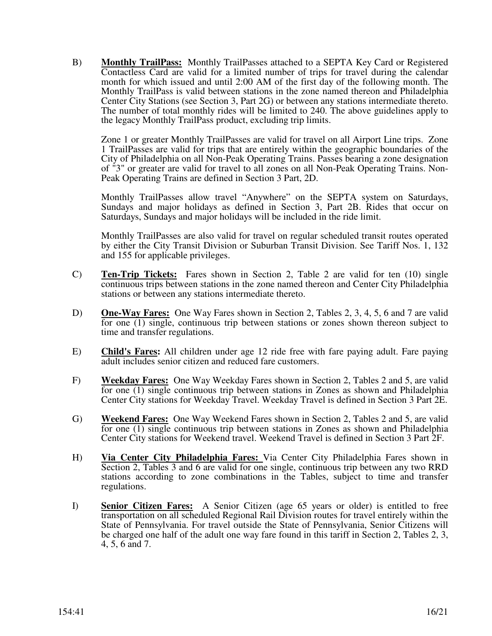B) **Monthly TrailPass:** Monthly TrailPasses attached to a SEPTA Key Card or Registered Contactless Card are valid for a limited number of trips for travel during the calendar month for which issued and until 2:00 AM of the first day of the following month. The Monthly TrailPass is valid between stations in the zone named thereon and Philadelphia Center City Stations (see Section 3, Part 2G) or between any stations intermediate thereto. The number of total monthly rides will be limited to 240. The above guidelines apply to the legacy Monthly TrailPass product, excluding trip limits.

Zone 1 or greater Monthly TrailPasses are valid for travel on all Airport Line trips. Zone 1 TrailPasses are valid for trips that are entirely within the geographic boundaries of the City of Philadelphia on all Non-Peak Operating Trains. Passes bearing a zone designation of "3" or greater are valid for travel to all zones on all Non-Peak Operating Trains. Non-Peak Operating Trains are defined in Section 3 Part, 2D.

Monthly TrailPasses allow travel "Anywhere" on the SEPTA system on Saturdays, Sundays and major holidays as defined in Section 3, Part 2B. Rides that occur on Saturdays, Sundays and major holidays will be included in the ride limit.

 Monthly TrailPasses are also valid for travel on regular scheduled transit routes operated by either the City Transit Division or Suburban Transit Division. See Tariff Nos. 1, 132 and 155 for applicable privileges.

- C) **Ten-Trip Tickets:** Fares shown in Section 2, Table 2 are valid for ten (10) single continuous trips between stations in the zone named thereon and Center City Philadelphia stations or between any stations intermediate thereto.
- D) **One-Way Fares:** One Way Fares shown in Section 2, Tables 2, 3, 4, 5, 6 and 7 are valid for one (1) single, continuous trip between stations or zones shown thereon subject to time and transfer regulations.
- E) **Child's Fares:** All children under age 12 ride free with fare paying adult. Fare paying adult includes senior citizen and reduced fare customers.
- F) **Weekday Fares:** One Way Weekday Fares shown in Section 2, Tables 2 and 5, are valid for one (1) single continuous trip between stations in Zones as shown and Philadelphia Center City stations for Weekday Travel. Weekday Travel is defined in Section 3 Part 2E.
- G) **Weekend Fares:** One Way Weekend Fares shown in Section 2, Tables 2 and 5, are valid for one (1) single continuous trip between stations in Zones as shown and Philadelphia Center City stations for Weekend travel. Weekend Travel is defined in Section 3 Part 2F.
- H) **Via Center City Philadelphia Fares:** Via Center City Philadelphia Fares shown in Section 2, Tables 3 and 6 are valid for one single, continuous trip between any two RRD stations according to zone combinations in the Tables, subject to time and transfer regulations.
- I) **Senior Citizen Fares:** A Senior Citizen (age 65 years or older) is entitled to free transportation on all scheduled Regional Rail Division routes for travel entirely within the State of Pennsylvania. For travel outside the State of Pennsylvania, Senior Citizens will be charged one half of the adult one way fare found in this tariff in Section 2, Tables 2, 3, 4, 5, 6 and 7.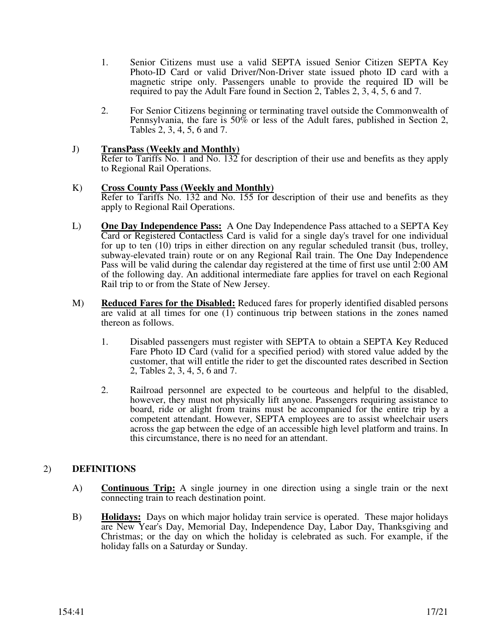- 1. Senior Citizens must use a valid SEPTA issued Senior Citizen SEPTA Key Photo-ID Card or valid Driver/Non-Driver state issued photo ID card with a magnetic stripe only. Passengers unable to provide the required ID will be required to pay the Adult Fare found in Section 2, Tables 2, 3, 4, 5, 6 and 7.
- 2. For Senior Citizens beginning or terminating travel outside the Commonwealth of Pennsylvania, the fare is 50% or less of the Adult fares, published in Section 2, Tables 2, 3, 4, 5, 6 and 7.

## J) **TransPass (Weekly and Monthly)**

 Refer to Tariffs No. 1 and No. 132 for description of their use and benefits as they apply to Regional Rail Operations.

#### K) **Cross County Pass (Weekly and Monthly)**

 Refer to Tariffs No. 132 and No. 155 for description of their use and benefits as they apply to Regional Rail Operations.

- L) **One Day Independence Pass:** A One Day Independence Pass attached to a SEPTA Key Card or Registered Contactless Card is valid for a single day's travel for one individual for up to ten (10) trips in either direction on any regular scheduled transit (bus, trolley, subway-elevated train) route or on any Regional Rail train. The One Day Independence Pass will be valid during the calendar day registered at the time of first use until 2:00 AM of the following day. An additional intermediate fare applies for travel on each Regional Rail trip to or from the State of New Jersey.
- M) **Reduced Fares for the Disabled:** Reduced fares for properly identified disabled persons are valid at all times for one (1) continuous trip between stations in the zones named thereon as follows.
	- 1. Disabled passengers must register with SEPTA to obtain a SEPTA Key Reduced Fare Photo ID Card (valid for a specified period) with stored value added by the customer, that will entitle the rider to get the discounted rates described in Section 2, Tables 2, 3, 4, 5, 6 and 7.
	- 2. Railroad personnel are expected to be courteous and helpful to the disabled, however, they must not physically lift anyone. Passengers requiring assistance to board, ride or alight from trains must be accompanied for the entire trip by a competent attendant. However, SEPTA employees are to assist wheelchair users across the gap between the edge of an accessible high level platform and trains. In this circumstance, there is no need for an attendant.

# 2) **DEFINITIONS**

- A) **Continuous Trip:** A single journey in one direction using a single train or the next connecting train to reach destination point.
- B) **Holidays:** Days on which major holiday train service is operated. These major holidays are New Year's Day, Memorial Day, Independence Day, Labor Day, Thanksgiving and Christmas; or the day on which the holiday is celebrated as such. For example, if the holiday falls on a Saturday or Sunday.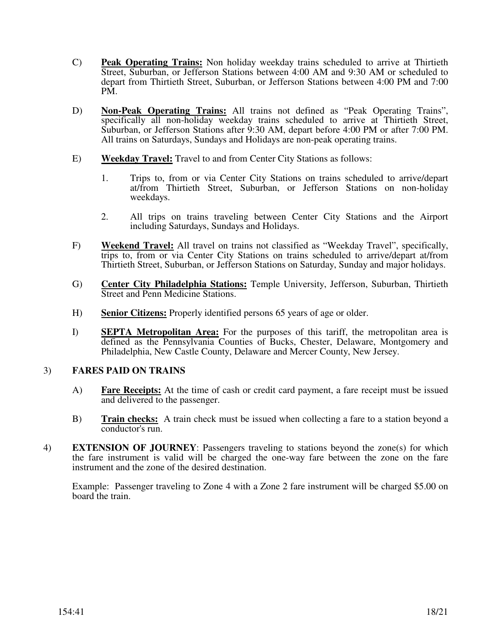- C) **Peak Operating Trains:** Non holiday weekday trains scheduled to arrive at Thirtieth Street, Suburban, or Jefferson Stations between 4:00 AM and 9:30 AM or scheduled to depart from Thirtieth Street, Suburban, or Jefferson Stations between 4:00 PM and 7:00 PM.
- D) **Non-Peak Operating Trains:** All trains not defined as "Peak Operating Trains", specifically all non-holiday weekday trains scheduled to arrive at Thirtieth Street, Suburban, or Jefferson Stations after 9:30 AM, depart before 4:00 PM or after 7:00 PM. All trains on Saturdays, Sundays and Holidays are non-peak operating trains.
- E) **Weekday Travel:** Travel to and from Center City Stations as follows:
	- 1. Trips to, from or via Center City Stations on trains scheduled to arrive/depart at/from Thirtieth Street, Suburban, or Jefferson Stations on non-holiday weekdays.
	- 2. All trips on trains traveling between Center City Stations and the Airport including Saturdays, Sundays and Holidays.
- F) **Weekend Travel:** All travel on trains not classified as "Weekday Travel", specifically, trips to, from or via Center City Stations on trains scheduled to arrive/depart at/from Thirtieth Street, Suburban, or Jefferson Stations on Saturday, Sunday and major holidays.
- G) **Center City Philadelphia Stations:** Temple University, Jefferson, Suburban, Thirtieth Street and Penn Medicine Stations.
- H) **Senior Citizens:** Properly identified persons 65 years of age or older.
- I) **SEPTA Metropolitan Area:** For the purposes of this tariff, the metropolitan area is defined as the Pennsylvania Counties of Bucks, Chester, Delaware, Montgomery and Philadelphia, New Castle County, Delaware and Mercer County, New Jersey.

## 3) **FARES PAID ON TRAINS**

- A) **Fare Receipts:** At the time of cash or credit card payment, a fare receipt must be issued and delivered to the passenger.
- B) **Train checks:** A train check must be issued when collecting a fare to a station beyond a conductor's run.
- 4) **EXTENSION OF JOURNEY**: Passengers traveling to stations beyond the zone(s) for which the fare instrument is valid will be charged the one-way fare between the zone on the fare instrument and the zone of the desired destination.

Example: Passenger traveling to Zone 4 with a Zone 2 fare instrument will be charged \$5.00 on board the train.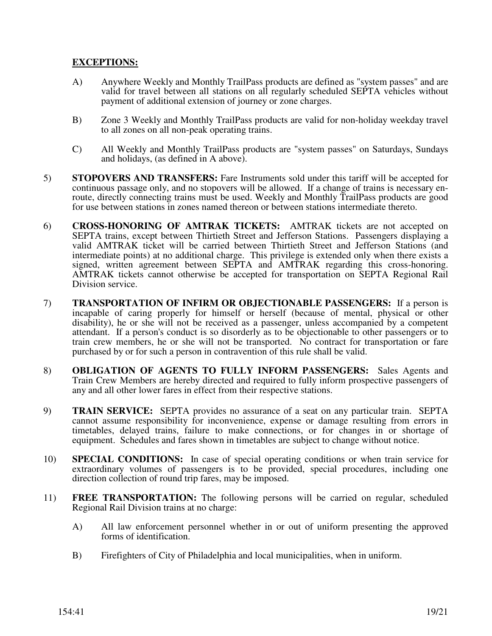## **EXCEPTIONS:**

- A) Anywhere Weekly and Monthly TrailPass products are defined as "system passes" and are valid for travel between all stations on all regularly scheduled SEPTA vehicles without payment of additional extension of journey or zone charges.
- B) Zone 3 Weekly and Monthly TrailPass products are valid for non-holiday weekday travel to all zones on all non-peak operating trains.
- C) All Weekly and Monthly TrailPass products are "system passes" on Saturdays, Sundays and holidays, (as defined in A above).
- 5) **STOPOVERS AND TRANSFERS:** Fare Instruments sold under this tariff will be accepted for continuous passage only, and no stopovers will be allowed. If a change of trains is necessary enroute, directly connecting trains must be used. Weekly and Monthly TrailPass products are good for use between stations in zones named thereon or between stations intermediate thereto.
- 6) **CROSS-HONORING OF AMTRAK TICKETS:** AMTRAK tickets are not accepted on SEPTA trains, except between Thirtieth Street and Jefferson Stations. Passengers displaying a valid AMTRAK ticket will be carried between Thirtieth Street and Jefferson Stations (and intermediate points) at no additional charge. This privilege is extended only when there exists a signed, written agreement between SEPTA and AMTRAK regarding this cross-honoring. AMTRAK tickets cannot otherwise be accepted for transportation on SEPTA Regional Rail Division service.
- 7) **TRANSPORTATION OF INFIRM OR OBJECTIONABLE PASSENGERS:** If a person is incapable of caring properly for himself or herself (because of mental, physical or other disability), he or she will not be received as a passenger, unless accompanied by a competent attendant. If a person's conduct is so disorderly as to be objectionable to other passengers or to train crew members, he or she will not be transported. No contract for transportation or fare purchased by or for such a person in contravention of this rule shall be valid.
- 8) **OBLIGATION OF AGENTS TO FULLY INFORM PASSENGERS:** Sales Agents and Train Crew Members are hereby directed and required to fully inform prospective passengers of any and all other lower fares in effect from their respective stations.
- 9) **TRAIN SERVICE:** SEPTA provides no assurance of a seat on any particular train. SEPTA cannot assume responsibility for inconvenience, expense or damage resulting from errors in timetables, delayed trains, failure to make connections, or for changes in or shortage of equipment. Schedules and fares shown in timetables are subject to change without notice.
- 10) **SPECIAL CONDITIONS:** In case of special operating conditions or when train service for extraordinary volumes of passengers is to be provided, special procedures, including one direction collection of round trip fares, may be imposed.
- 11) **FREE TRANSPORTATION:** The following persons will be carried on regular, scheduled Regional Rail Division trains at no charge:
	- A) All law enforcement personnel whether in or out of uniform presenting the approved forms of identification.
	- B) Firefighters of City of Philadelphia and local municipalities, when in uniform.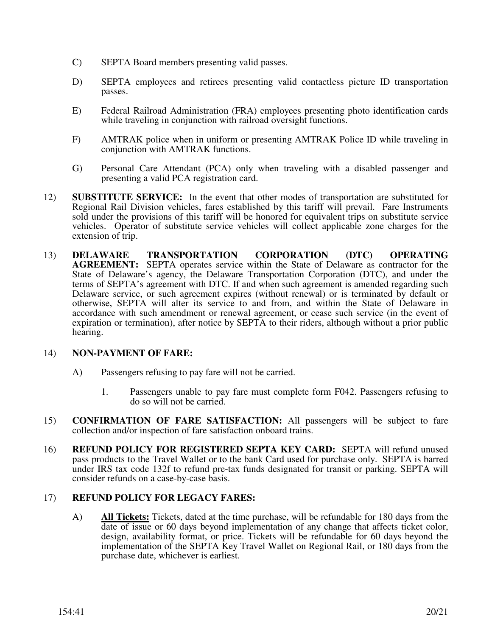- C) SEPTA Board members presenting valid passes.
- D) SEPTA employees and retirees presenting valid contactless picture ID transportation passes.
- E) Federal Railroad Administration (FRA) employees presenting photo identification cards while traveling in conjunction with railroad oversight functions.
- F) AMTRAK police when in uniform or presenting AMTRAK Police ID while traveling in conjunction with AMTRAK functions.
- G) Personal Care Attendant (PCA) only when traveling with a disabled passenger and presenting a valid PCA registration card.
- 12) **SUBSTITUTE SERVICE:** In the event that other modes of transportation are substituted for Regional Rail Division vehicles, fares established by this tariff will prevail. Fare Instruments sold under the provisions of this tariff will be honored for equivalent trips on substitute service vehicles. Operator of substitute service vehicles will collect applicable zone charges for the extension of trip.
- 13) **DELAWARE TRANSPORTATION CORPORATION (DTC) OPERATING AGREEMENT:** SEPTA operates service within the State of Delaware as contractor for the State of Delaware's agency, the Delaware Transportation Corporation (DTC), and under the terms of SEPTA's agreement with DTC. If and when such agreement is amended regarding such Delaware service, or such agreement expires (without renewal) or is terminated by default or otherwise, SEPTA will alter its service to and from, and within the State of Delaware in accordance with such amendment or renewal agreement, or cease such service (in the event of expiration or termination), after notice by SEPTA to their riders, although without a prior public hearing.

## 14) **NON-PAYMENT OF FARE:**

- A) Passengers refusing to pay fare will not be carried.
	- 1. Passengers unable to pay fare must complete form F042. Passengers refusing to do so will not be carried.
- 15) **CONFIRMATION OF FARE SATISFACTION:** All passengers will be subject to fare collection and/or inspection of fare satisfaction onboard trains.
- 16) **REFUND POLICY FOR REGISTERED SEPTA KEY CARD:** SEPTA will refund unused pass products to the Travel Wallet or to the bank Card used for purchase only. SEPTA is barred under IRS tax code 132f to refund pre-tax funds designated for transit or parking. SEPTA will consider refunds on a case-by-case basis.

## 17) **REFUND POLICY FOR LEGACY FARES:**

A) **All Tickets:** Tickets, dated at the time purchase, will be refundable for 180 days from the date of issue or 60 days beyond implementation of any change that affects ticket color, design, availability format, or price. Tickets will be refundable for 60 days beyond the implementation of the SEPTA Key Travel Wallet on Regional Rail, or 180 days from the purchase date, whichever is earliest.